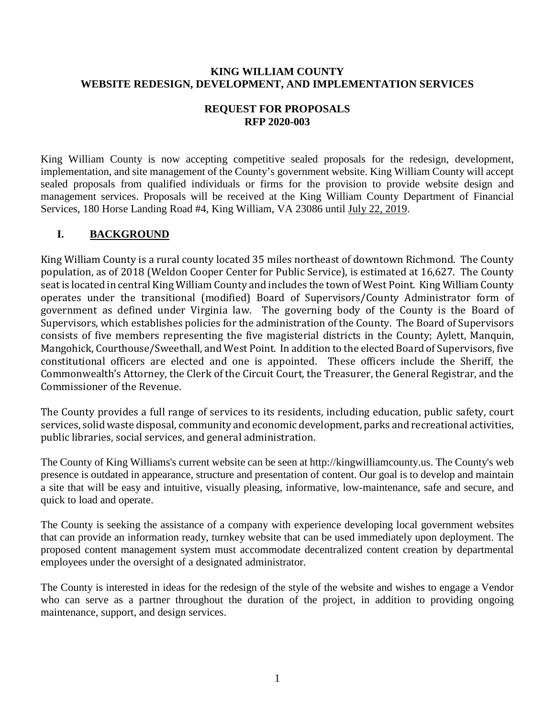### **KING WILLIAM COUNTY WEBSITE REDESIGN, DEVELOPMENT, AND IMPLEMENTATION SERVICES**

### **REQUEST FOR PROPOSALS RFP 2020-003**

King William County is now accepting competitive sealed proposals for the redesign, development, implementation, and site management of the County's government website. King William County will accept sealed proposals from qualified individuals or firms for the provision to provide website design and management services. Proposals will be received at the King William County Department of Financial Services, 180 Horse Landing Road #4, King William, VA 23086 until July 22, 2019.

# **I. BACKGROUND**

King William County is a rural county located 35 miles northeast of downtown Richmond. The County population, as of 2018 (Weldon Cooper Center for Public Service), is estimated at 16,627. The County seat is located in central King William County and includes the town of West Point. King William County operates under the transitional (modified) Board of Supervisors/County Administrator form of government as defined under Virginia law. The governing body of the County is the Board of Supervisors, which establishes policies for the administration of the County. The Board of Supervisors consists of five members representing the five magisterial districts in the County; Aylett, Manquin, Mangohick, Courthouse/Sweethall, and West Point. In addition to the elected Board of Supervisors, five constitutional officers are elected and one is appointed. These officers include the Sheriff, the Commonwealth's Attorney, the Clerk of the Circuit Court, the Treasurer, the General Registrar, and the Commissioner of the Revenue.

The County provides a full range of services to its residents, including education, public safety, court services, solid waste disposal, community and economic development, parks and recreational activities, public libraries, social services, and general administration.

The County of King Williams's current website can be seen at http://kingwilliamcounty.us. The County's web presence is outdated in appearance, structure and presentation of content. Our goal is to develop and maintain a site that will be easy and intuitive, visually pleasing, informative, low-maintenance, safe and secure, and quick to load and operate.

The County is seeking the assistance of a company with experience developing local government websites that can provide an information ready, turnkey website that can be used immediately upon deployment. The proposed content management system must accommodate decentralized content creation by departmental employees under the oversight of a designated administrator.

The County is interested in ideas for the redesign of the style of the website and wishes to engage a Vendor who can serve as a partner throughout the duration of the project, in addition to providing ongoing maintenance, support, and design services.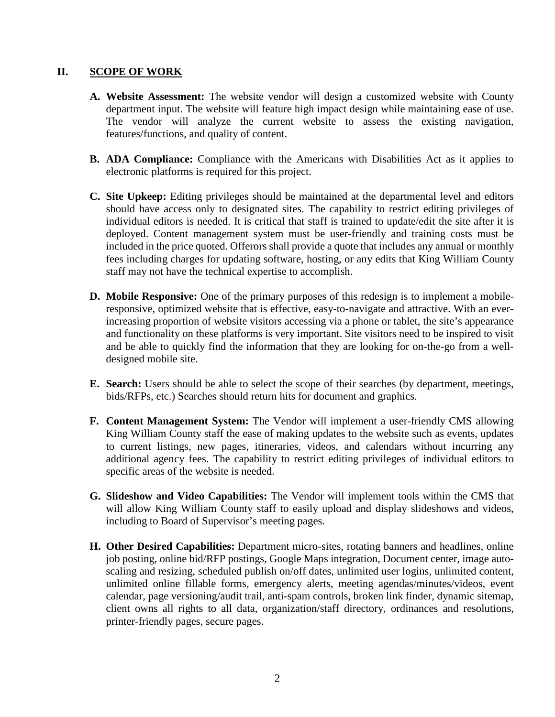### **II. SCOPE OF WORK**

- **A. Website Assessment:** The website vendor will design a customized website with County department input. The website will feature high impact design while maintaining ease of use. The vendor will analyze the current website to assess the existing navigation, features/functions, and quality of content.
- **B. ADA Compliance:** Compliance with the Americans with Disabilities Act as it applies to electronic platforms is required for this project.
- **C. Site Upkeep:** Editing privileges should be maintained at the departmental level and editors should have access only to designated sites. The capability to restrict editing privileges of individual editors is needed. It is critical that staff is trained to update/edit the site after it is deployed. Content management system must be user-friendly and training costs must be included in the price quoted. Offerors shall provide a quote that includes any annual or monthly fees including charges for updating software, hosting, or any edits that King William County staff may not have the technical expertise to accomplish.
- **D. Mobile Responsive:** One of the primary purposes of this redesign is to implement a mobileresponsive, optimized website that is effective, easy-to-navigate and attractive. With an everincreasing proportion of website visitors accessing via a phone or tablet, the site's appearance and functionality on these platforms is very important. Site visitors need to be inspired to visit and be able to quickly find the information that they are looking for on-the-go from a welldesigned mobile site.
- **E.** Search: Users should be able to select the scope of their searches (by department, meetings, bids/RFPs, etc.) Searches should return hits for document and graphics.
- **F. Content Management System:** The Vendor will implement a user-friendly CMS allowing King William County staff the ease of making updates to the website such as events, updates to current listings, new pages, itineraries, videos, and calendars without incurring any additional agency fees. The capability to restrict editing privileges of individual editors to specific areas of the website is needed.
- **G. Slideshow and Video Capabilities:** The Vendor will implement tools within the CMS that will allow King William County staff to easily upload and display slideshows and videos, including to Board of Supervisor's meeting pages.
- **H. Other Desired Capabilities:** Department micro-sites, rotating banners and headlines, online job posting, online bid/RFP postings, Google Maps integration, Document center, image autoscaling and resizing, scheduled publish on/off dates, unlimited user logins, unlimited content, unlimited online fillable forms, emergency alerts, meeting agendas/minutes/videos, event calendar, page versioning/audit trail, anti-spam controls, broken link finder, dynamic sitemap, client owns all rights to all data, organization/staff directory, ordinances and resolutions, printer-friendly pages, secure pages.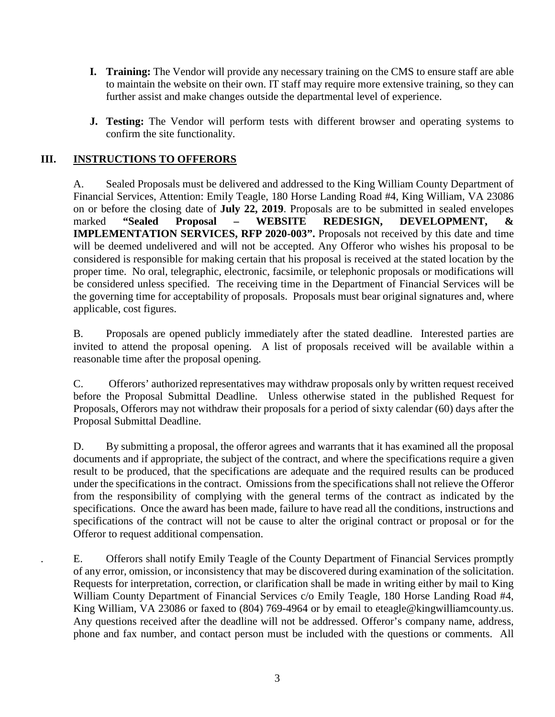- **I. Training:** The Vendor will provide any necessary training on the CMS to ensure staff are able to maintain the website on their own. IT staff may require more extensive training, so they can further assist and make changes outside the departmental level of experience.
- **J. Testing:** The Vendor will perform tests with different browser and operating systems to confirm the site functionality.

# **III. INSTRUCTIONS TO OFFERORS**

A. Sealed Proposals must be delivered and addressed to the King William County Department of Financial Services, Attention: Emily Teagle, 180 Horse Landing Road #4, King William, VA 23086 on or before the closing date of **July 22, 2019**. Proposals are to be submitted in sealed envelopes marked **"Sealed Proposal – WEBSITE REDESIGN, DEVELOPMENT, & IMPLEMENTATION SERVICES, RFP 2020-003".** Proposals not received by this date and time will be deemed undelivered and will not be accepted. Any Offeror who wishes his proposal to be considered is responsible for making certain that his proposal is received at the stated location by the proper time. No oral, telegraphic, electronic, facsimile, or telephonic proposals or modifications will be considered unless specified. The receiving time in the Department of Financial Services will be the governing time for acceptability of proposals. Proposals must bear original signatures and, where applicable, cost figures.

B. Proposals are opened publicly immediately after the stated deadline. Interested parties are invited to attend the proposal opening. A list of proposals received will be available within a reasonable time after the proposal opening.

C. Offerors' authorized representatives may withdraw proposals only by written request received before the Proposal Submittal Deadline. Unless otherwise stated in the published Request for Proposals, Offerors may not withdraw their proposals for a period of sixty calendar (60) days after the Proposal Submittal Deadline.

D. By submitting a proposal, the offeror agrees and warrants that it has examined all the proposal documents and if appropriate, the subject of the contract, and where the specifications require a given result to be produced, that the specifications are adequate and the required results can be produced under the specifications in the contract. Omissions from the specifications shall not relieve the Offeror from the responsibility of complying with the general terms of the contract as indicated by the specifications. Once the award has been made, failure to have read all the conditions, instructions and specifications of the contract will not be cause to alter the original contract or proposal or for the Offeror to request additional compensation.

. E. Offerors shall notify Emily Teagle of the County Department of Financial Services promptly of any error, omission, or inconsistency that may be discovered during examination of the solicitation. Requests for interpretation, correction, or clarification shall be made in writing either by mail to King William County Department of Financial Services c/o Emily Teagle, 180 Horse Landing Road #4, King William, VA 23086 or faxed to (804) 769-4964 or by email to eteagle@kingwilliamcounty.us. Any questions received after the deadline will not be addressed. Offeror's company name, address, phone and fax number, and contact person must be included with the questions or comments. All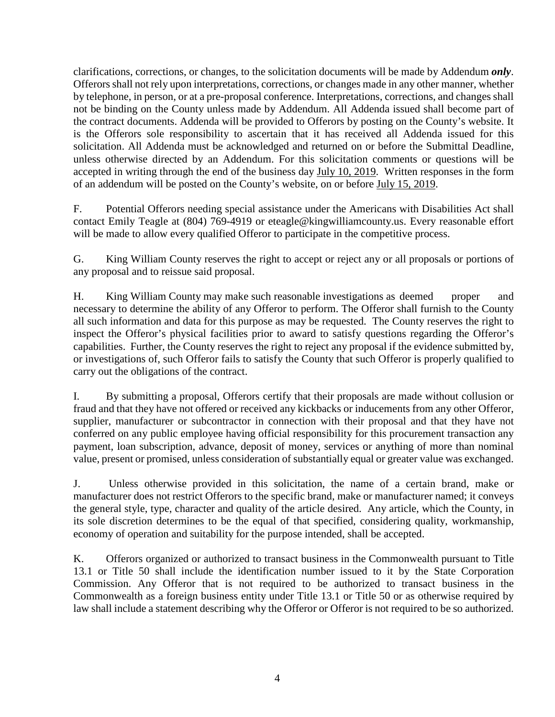clarifications, corrections, or changes, to the solicitation documents will be made by Addendum *only*. Offerors shall not rely upon interpretations, corrections, or changes made in any other manner, whether by telephone, in person, or at a pre-proposal conference. Interpretations, corrections, and changes shall not be binding on the County unless made by Addendum. All Addenda issued shall become part of the contract documents. Addenda will be provided to Offerors by posting on the County's website. It is the Offerors sole responsibility to ascertain that it has received all Addenda issued for this solicitation. All Addenda must be acknowledged and returned on or before the Submittal Deadline, unless otherwise directed by an Addendum. For this solicitation comments or questions will be accepted in writing through the end of the business day July 10, 2019. Written responses in the form of an addendum will be posted on the County's website, on or before July 15, 2019.

F. Potential Offerors needing special assistance under the Americans with Disabilities Act shall contact Emily Teagle at (804) 769-4919 or eteagle@kingwilliamcounty.us. Every reasonable effort will be made to allow every qualified Offeror to participate in the competitive process.

G. King William County reserves the right to accept or reject any or all proposals or portions of any proposal and to reissue said proposal.

H. King William County may make such reasonable investigations as deemed proper and necessary to determine the ability of any Offeror to perform. The Offeror shall furnish to the County all such information and data for this purpose as may be requested. The County reserves the right to inspect the Offeror's physical facilities prior to award to satisfy questions regarding the Offeror's capabilities. Further, the County reserves the right to reject any proposal if the evidence submitted by, or investigations of, such Offeror fails to satisfy the County that such Offeror is properly qualified to carry out the obligations of the contract.

I. By submitting a proposal, Offerors certify that their proposals are made without collusion or fraud and that they have not offered or received any kickbacks or inducements from any other Offeror, supplier, manufacturer or subcontractor in connection with their proposal and that they have not conferred on any public employee having official responsibility for this procurement transaction any payment, loan subscription, advance, deposit of money, services or anything of more than nominal value, present or promised, unless consideration of substantially equal or greater value was exchanged.

J. Unless otherwise provided in this solicitation, the name of a certain brand, make or manufacturer does not restrict Offerors to the specific brand, make or manufacturer named; it conveys the general style, type, character and quality of the article desired. Any article, which the County, in its sole discretion determines to be the equal of that specified, considering quality, workmanship, economy of operation and suitability for the purpose intended, shall be accepted.

K. Offerors organized or authorized to transact business in the Commonwealth pursuant to Title 13.1 or Title 50 shall include the identification number issued to it by the State Corporation Commission. Any Offeror that is not required to be authorized to transact business in the Commonwealth as a foreign business entity under Title 13.1 or Title 50 or as otherwise required by law shall include a statement describing why the Offeror or Offeror is not required to be so authorized.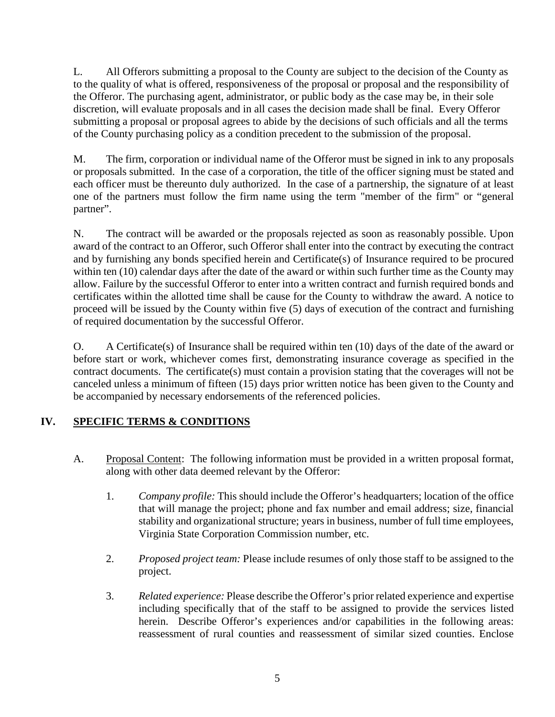L. All Offerors submitting a proposal to the County are subject to the decision of the County as to the quality of what is offered, responsiveness of the proposal or proposal and the responsibility of the Offeror. The purchasing agent, administrator, or public body as the case may be, in their sole discretion, will evaluate proposals and in all cases the decision made shall be final. Every Offeror submitting a proposal or proposal agrees to abide by the decisions of such officials and all the terms of the County purchasing policy as a condition precedent to the submission of the proposal.

M. The firm, corporation or individual name of the Offeror must be signed in ink to any proposals or proposals submitted. In the case of a corporation, the title of the officer signing must be stated and each officer must be thereunto duly authorized. In the case of a partnership, the signature of at least one of the partners must follow the firm name using the term "member of the firm" or "general partner".

N. The contract will be awarded or the proposals rejected as soon as reasonably possible. Upon award of the contract to an Offeror, such Offeror shall enter into the contract by executing the contract and by furnishing any bonds specified herein and Certificate(s) of Insurance required to be procured within ten (10) calendar days after the date of the award or within such further time as the County may allow. Failure by the successful Offeror to enter into a written contract and furnish required bonds and certificates within the allotted time shall be cause for the County to withdraw the award. A notice to proceed will be issued by the County within five (5) days of execution of the contract and furnishing of required documentation by the successful Offeror.

O. A Certificate(s) of Insurance shall be required within ten (10) days of the date of the award or before start or work, whichever comes first, demonstrating insurance coverage as specified in the contract documents. The certificate(s) must contain a provision stating that the coverages will not be canceled unless a minimum of fifteen (15) days prior written notice has been given to the County and be accompanied by necessary endorsements of the referenced policies.

# **IV. SPECIFIC TERMS & CONDITIONS**

- A. Proposal Content: The following information must be provided in a written proposal format, along with other data deemed relevant by the Offeror:
	- 1. *Company profile:* This should include the Offeror's headquarters; location of the office that will manage the project; phone and fax number and email address; size, financial stability and organizational structure; years in business, number of full time employees, Virginia State Corporation Commission number, etc.
	- 2. *Proposed project team:* Please include resumes of only those staff to be assigned to the project.
	- 3. *Related experience:* Please describe the Offeror's prior related experience and expertise including specifically that of the staff to be assigned to provide the services listed herein. Describe Offeror's experiences and/or capabilities in the following areas: reassessment of rural counties and reassessment of similar sized counties. Enclose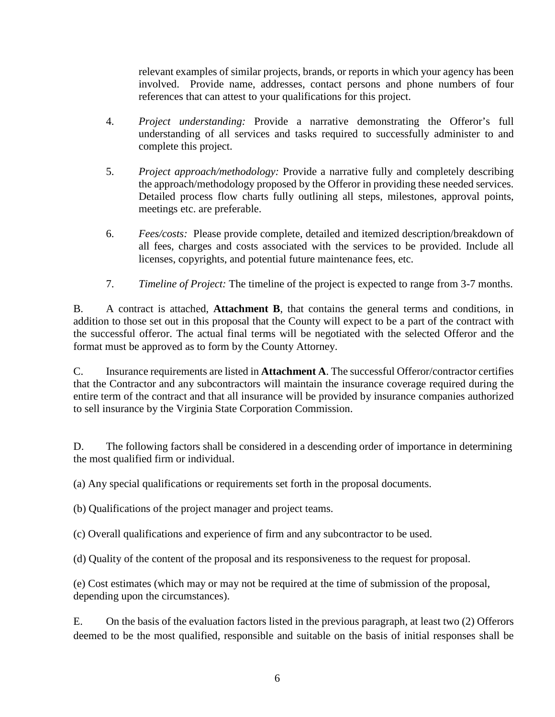relevant examples of similar projects, brands, or reports in which your agency has been involved. Provide name, addresses, contact persons and phone numbers of four references that can attest to your qualifications for this project.

- 4. *Project understanding:* Provide a narrative demonstrating the Offeror's full understanding of all services and tasks required to successfully administer to and complete this project.
- 5. *Project approach/methodology:* Provide a narrative fully and completely describing the approach/methodology proposed by the Offeror in providing these needed services. Detailed process flow charts fully outlining all steps, milestones, approval points, meetings etc. are preferable.
- 6. *Fees/costs:* Please provide complete, detailed and itemized description/breakdown of all fees, charges and costs associated with the services to be provided. Include all licenses, copyrights, and potential future maintenance fees, etc.
- 7. *Timeline of Project:* The timeline of the project is expected to range from 3-7 months.

B. A contract is attached, **Attachment B**, that contains the general terms and conditions, in addition to those set out in this proposal that the County will expect to be a part of the contract with the successful offeror. The actual final terms will be negotiated with the selected Offeror and the format must be approved as to form by the County Attorney.

C. Insurance requirements are listed in **Attachment A**. The successful Offeror/contractor certifies that the Contractor and any subcontractors will maintain the insurance coverage required during the entire term of the contract and that all insurance will be provided by insurance companies authorized to sell insurance by the Virginia State Corporation Commission.

D. The following factors shall be considered in a descending order of importance in determining the most qualified firm or individual.

(a) Any special qualifications or requirements set forth in the proposal documents.

(b) Qualifications of the project manager and project teams.

(c) Overall qualifications and experience of firm and any subcontractor to be used.

(d) Quality of the content of the proposal and its responsiveness to the request for proposal.

(e) Cost estimates (which may or may not be required at the time of submission of the proposal, depending upon the circumstances).

E. On the basis of the evaluation factors listed in the previous paragraph, at least two (2) Offerors deemed to be the most qualified, responsible and suitable on the basis of initial responses shall be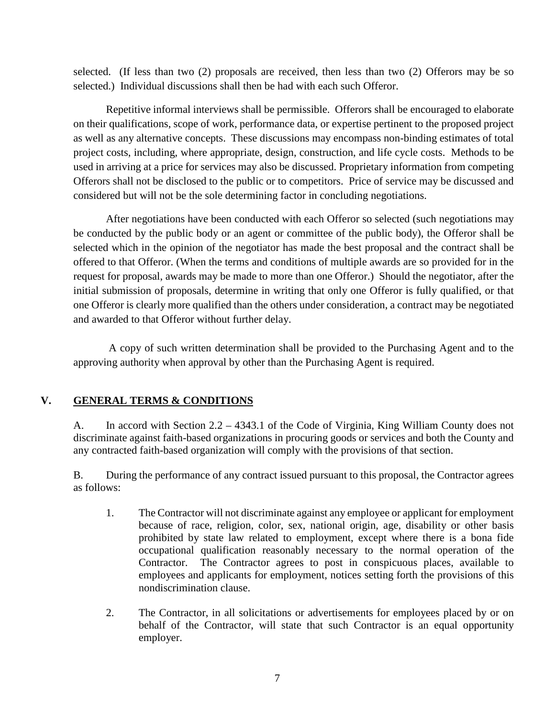selected. (If less than two (2) proposals are received, then less than two (2) Offerors may be so selected.) Individual discussions shall then be had with each such Offeror.

Repetitive informal interviews shall be permissible. Offerors shall be encouraged to elaborate on their qualifications, scope of work, performance data, or expertise pertinent to the proposed project as well as any alternative concepts. These discussions may encompass non-binding estimates of total project costs, including, where appropriate, design, construction, and life cycle costs. Methods to be used in arriving at a price for services may also be discussed. Proprietary information from competing Offerors shall not be disclosed to the public or to competitors. Price of service may be discussed and considered but will not be the sole determining factor in concluding negotiations.

After negotiations have been conducted with each Offeror so selected (such negotiations may be conducted by the public body or an agent or committee of the public body), the Offeror shall be selected which in the opinion of the negotiator has made the best proposal and the contract shall be offered to that Offeror. (When the terms and conditions of multiple awards are so provided for in the request for proposal, awards may be made to more than one Offeror.) Should the negotiator, after the initial submission of proposals, determine in writing that only one Offeror is fully qualified, or that one Offeror is clearly more qualified than the others under consideration, a contract may be negotiated and awarded to that Offeror without further delay.

A copy of such written determination shall be provided to the Purchasing Agent and to the approving authority when approval by other than the Purchasing Agent is required.

## **V. GENERAL TERMS & CONDITIONS**

A. In accord with Section 2.2 – 4343.1 of the Code of Virginia, King William County does not discriminate against faith-based organizations in procuring goods or services and both the County and any contracted faith-based organization will comply with the provisions of that section.

B. During the performance of any contract issued pursuant to this proposal, the Contractor agrees as follows:

- 1. The Contractor will not discriminate against any employee or applicant for employment because of race, religion, color, sex, national origin, age, disability or other basis prohibited by state law related to employment, except where there is a bona fide occupational qualification reasonably necessary to the normal operation of the Contractor. The Contractor agrees to post in conspicuous places, available to employees and applicants for employment, notices setting forth the provisions of this nondiscrimination clause.
- 2. The Contractor, in all solicitations or advertisements for employees placed by or on behalf of the Contractor, will state that such Contractor is an equal opportunity employer.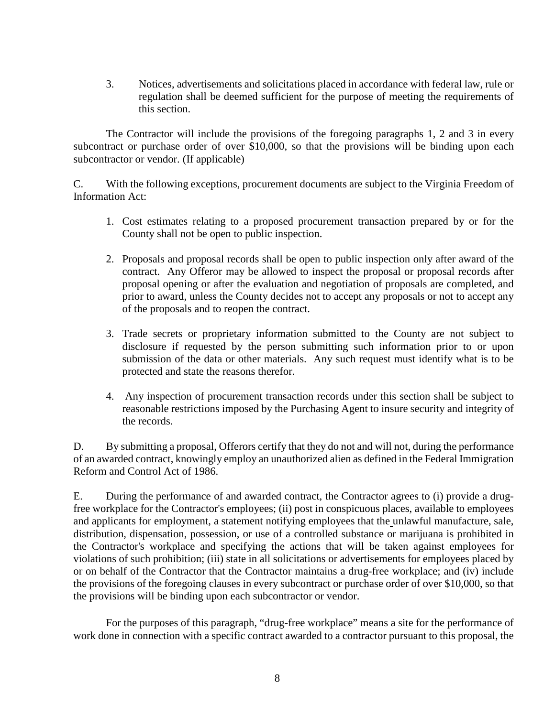3. Notices, advertisements and solicitations placed in accordance with federal law, rule or regulation shall be deemed sufficient for the purpose of meeting the requirements of this section.

The Contractor will include the provisions of the foregoing paragraphs 1, 2 and 3 in every subcontract or purchase order of over \$10,000, so that the provisions will be binding upon each subcontractor or vendor. (If applicable)

C. With the following exceptions, procurement documents are subject to the Virginia Freedom of Information Act:

- 1. Cost estimates relating to a proposed procurement transaction prepared by or for the County shall not be open to public inspection.
- 2. Proposals and proposal records shall be open to public inspection only after award of the contract. Any Offeror may be allowed to inspect the proposal or proposal records after proposal opening or after the evaluation and negotiation of proposals are completed, and prior to award, unless the County decides not to accept any proposals or not to accept any of the proposals and to reopen the contract.
- 3. Trade secrets or proprietary information submitted to the County are not subject to disclosure if requested by the person submitting such information prior to or upon submission of the data or other materials. Any such request must identify what is to be protected and state the reasons therefor.
- 4. Any inspection of procurement transaction records under this section shall be subject to reasonable restrictions imposed by the Purchasing Agent to insure security and integrity of the records.

D. By submitting a proposal, Offerors certify that they do not and will not, during the performance of an awarded contract, knowingly employ an unauthorized alien as defined in the Federal Immigration Reform and Control Act of 1986.

E. During the performance of and awarded contract, the Contractor agrees to (i) provide a drugfree workplace for the Contractor's employees; (ii) post in conspicuous places, available to employees and applicants for employment, a statement notifying employees that the unlawful manufacture, sale, distribution, dispensation, possession, or use of a controlled substance or marijuana is prohibited in the Contractor's workplace and specifying the actions that will be taken against employees for violations of such prohibition; (iii) state in all solicitations or advertisements for employees placed by or on behalf of the Contractor that the Contractor maintains a drug-free workplace; and (iv) include the provisions of the foregoing clauses in every subcontract or purchase order of over \$10,000, so that the provisions will be binding upon each subcontractor or vendor.

For the purposes of this paragraph, "drug-free workplace" means a site for the performance of work done in connection with a specific contract awarded to a contractor pursuant to this proposal, the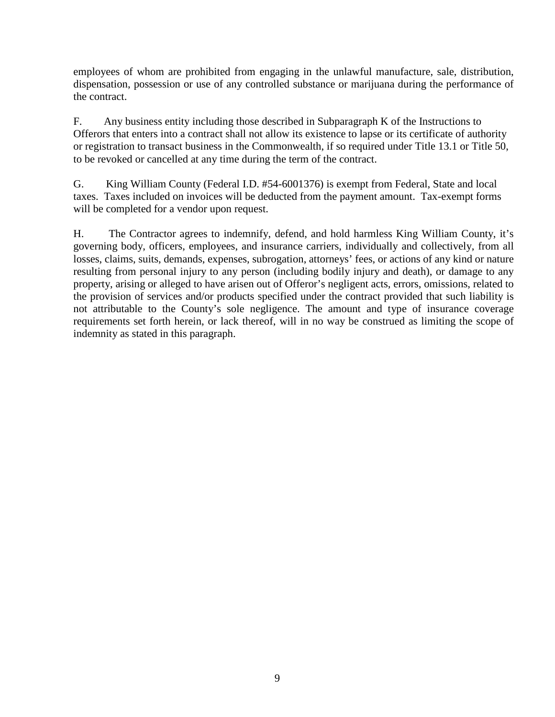employees of whom are prohibited from engaging in the unlawful manufacture, sale, distribution, dispensation, possession or use of any controlled substance or marijuana during the performance of the contract.

F. Any business entity including those described in Subparagraph K of the Instructions to Offerors that enters into a contract shall not allow its existence to lapse or its certificate of authority or registration to transact business in the Commonwealth, if so required under Title 13.1 or Title 50, to be revoked or cancelled at any time during the term of the contract.

G. King William County (Federal I.D. #54-6001376) is exempt from Federal, State and local taxes. Taxes included on invoices will be deducted from the payment amount. Tax-exempt forms will be completed for a vendor upon request.

H. The Contractor agrees to indemnify, defend, and hold harmless King William County, it's governing body, officers, employees, and insurance carriers, individually and collectively, from all losses, claims, suits, demands, expenses, subrogation, attorneys' fees, or actions of any kind or nature resulting from personal injury to any person (including bodily injury and death), or damage to any property, arising or alleged to have arisen out of Offeror's negligent acts, errors, omissions, related to the provision of services and/or products specified under the contract provided that such liability is not attributable to the County's sole negligence. The amount and type of insurance coverage requirements set forth herein, or lack thereof, will in no way be construed as limiting the scope of indemnity as stated in this paragraph.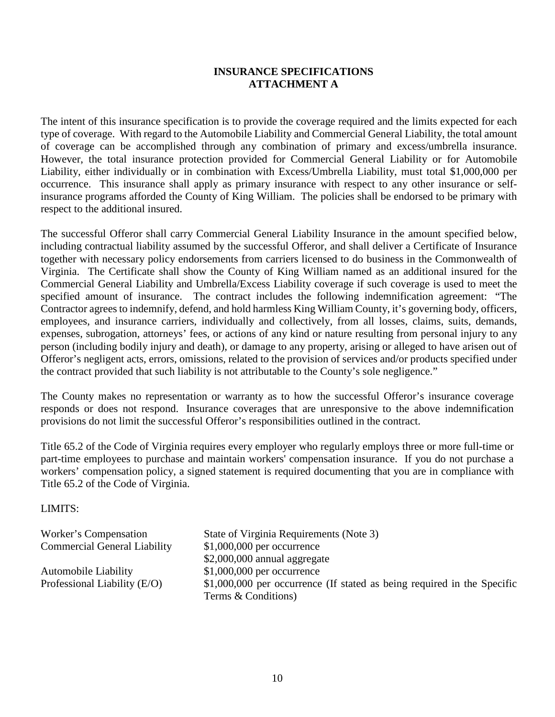### **INSURANCE SPECIFICATIONS ATTACHMENT A**

The intent of this insurance specification is to provide the coverage required and the limits expected for each type of coverage. With regard to the Automobile Liability and Commercial General Liability, the total amount of coverage can be accomplished through any combination of primary and excess/umbrella insurance. However, the total insurance protection provided for Commercial General Liability or for Automobile Liability, either individually or in combination with Excess/Umbrella Liability, must total \$1,000,000 per occurrence. This insurance shall apply as primary insurance with respect to any other insurance or selfinsurance programs afforded the County of King William. The policies shall be endorsed to be primary with respect to the additional insured.

The successful Offeror shall carry Commercial General Liability Insurance in the amount specified below, including contractual liability assumed by the successful Offeror, and shall deliver a Certificate of Insurance together with necessary policy endorsements from carriers licensed to do business in the Commonwealth of Virginia. The Certificate shall show the County of King William named as an additional insured for the Commercial General Liability and Umbrella/Excess Liability coverage if such coverage is used to meet the specified amount of insurance. The contract includes the following indemnification agreement: "The Contractor agrees to indemnify, defend, and hold harmless King William County, it's governing body, officers, employees, and insurance carriers, individually and collectively, from all losses, claims, suits, demands, expenses, subrogation, attorneys' fees, or actions of any kind or nature resulting from personal injury to any person (including bodily injury and death), or damage to any property, arising or alleged to have arisen out of Offeror's negligent acts, errors, omissions, related to the provision of services and/or products specified under the contract provided that such liability is not attributable to the County's sole negligence."

The County makes no representation or warranty as to how the successful Offeror's insurance coverage responds or does not respond. Insurance coverages that are unresponsive to the above indemnification provisions do not limit the successful Offeror's responsibilities outlined in the contract.

Title 65.2 of the Code of Virginia requires every employer who regularly employs three or more full-time or part-time employees to purchase and maintain workers' compensation insurance. If you do not purchase a workers' compensation policy, a signed statement is required documenting that you are in compliance with Title 65.2 of the Code of Virginia.

### LIMITS:

| Worker's Compensation               | State of Virginia Requirements (Note 3)                                                         |
|-------------------------------------|-------------------------------------------------------------------------------------------------|
| <b>Commercial General Liability</b> | $$1,000,000$ per occurrence                                                                     |
|                                     | $$2,000,000$ annual aggregate                                                                   |
| <b>Automobile Liability</b>         | $$1,000,000$ per occurrence                                                                     |
| Professional Liability $(E/O)$      | $$1,000,000$ per occurrence (If stated as being required in the Specific<br>Terms & Conditions) |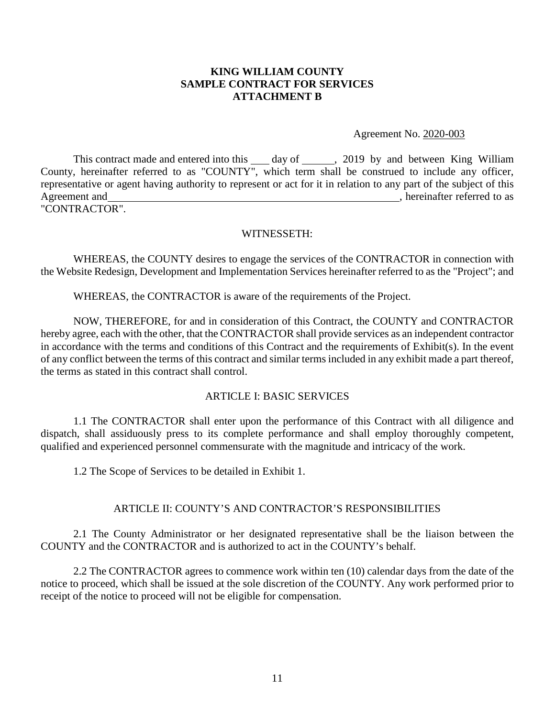### **KING WILLIAM COUNTY SAMPLE CONTRACT FOR SERVICES ATTACHMENT B**

Agreement No. 2020-003

This contract made and entered into this  $\_\_\_$  day of  $\_\_\_\_$ , 2019 by and between King William County, hereinafter referred to as "COUNTY", which term shall be construed to include any officer, representative or agent having authority to represent or act for it in relation to any part of the subject of this Agreement and , hereinafter referred to as "CONTRACTOR".

WITNESSETH:

WHEREAS, the COUNTY desires to engage the services of the CONTRACTOR in connection with the Website Redesign, Development and Implementation Services hereinafter referred to as the "Project"; and

WHEREAS, the CONTRACTOR is aware of the requirements of the Project.

NOW, THEREFORE, for and in consideration of this Contract, the COUNTY and CONTRACTOR hereby agree, each with the other, that the CONTRACTOR shall provide services as an independent contractor in accordance with the terms and conditions of this Contract and the requirements of Exhibit(s). In the event of any conflict between the terms of this contract and similar terms included in any exhibit made a part thereof, the terms as stated in this contract shall control.

### ARTICLE I: BASIC SERVICES

1.1 The CONTRACTOR shall enter upon the performance of this Contract with all diligence and dispatch, shall assiduously press to its complete performance and shall employ thoroughly competent, qualified and experienced personnel commensurate with the magnitude and intricacy of the work.

1.2 The Scope of Services to be detailed in Exhibit 1.

### ARTICLE II: COUNTY'S AND CONTRACTOR'S RESPONSIBILITIES

2.1 The County Administrator or her designated representative shall be the liaison between the COUNTY and the CONTRACTOR and is authorized to act in the COUNTY's behalf.

2.2 The CONTRACTOR agrees to commence work within ten (10) calendar days from the date of the notice to proceed, which shall be issued at the sole discretion of the COUNTY. Any work performed prior to receipt of the notice to proceed will not be eligible for compensation.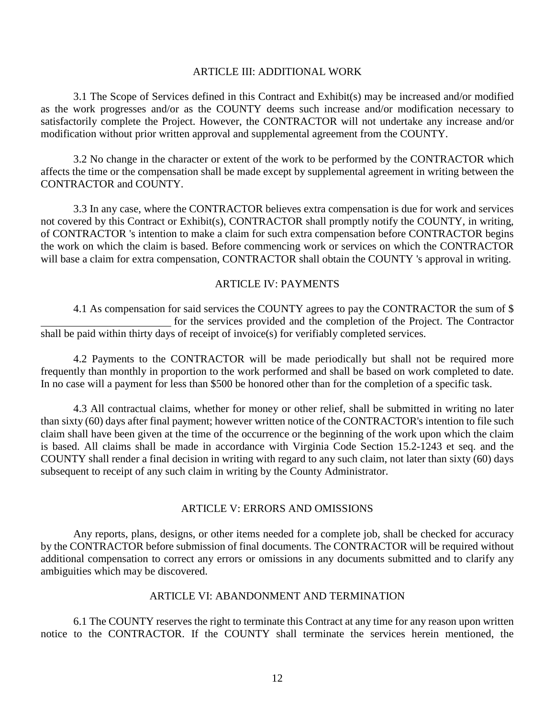#### ARTICLE III: ADDITIONAL WORK

3.1 The Scope of Services defined in this Contract and Exhibit(s) may be increased and/or modified as the work progresses and/or as the COUNTY deems such increase and/or modification necessary to satisfactorily complete the Project. However, the CONTRACTOR will not undertake any increase and/or modification without prior written approval and supplemental agreement from the COUNTY.

3.2 No change in the character or extent of the work to be performed by the CONTRACTOR which affects the time or the compensation shall be made except by supplemental agreement in writing between the CONTRACTOR and COUNTY.

3.3 In any case, where the CONTRACTOR believes extra compensation is due for work and services not covered by this Contract or Exhibit(s), CONTRACTOR shall promptly notify the COUNTY, in writing, of CONTRACTOR 's intention to make a claim for such extra compensation before CONTRACTOR begins the work on which the claim is based. Before commencing work or services on which the CONTRACTOR will base a claim for extra compensation, CONTRACTOR shall obtain the COUNTY 's approval in writing.

#### ARTICLE IV: PAYMENTS

4.1 As compensation for said services the COUNTY agrees to pay the CONTRACTOR the sum of \$ for the services provided and the completion of the Project. The Contractor shall be paid within thirty days of receipt of invoice(s) for verifiably completed services.

4.2 Payments to the CONTRACTOR will be made periodically but shall not be required more frequently than monthly in proportion to the work performed and shall be based on work completed to date. In no case will a payment for less than \$500 be honored other than for the completion of a specific task.

4.3 All contractual claims, whether for money or other relief, shall be submitted in writing no later than sixty (60) days after final payment; however written notice of the CONTRACTOR's intention to file such claim shall have been given at the time of the occurrence or the beginning of the work upon which the claim is based. All claims shall be made in accordance with Virginia Code Section 15.2-1243 et seq. and the COUNTY shall render a final decision in writing with regard to any such claim, not later than sixty (60) days subsequent to receipt of any such claim in writing by the County Administrator.

#### ARTICLE V: ERRORS AND OMISSIONS

Any reports, plans, designs, or other items needed for a complete job, shall be checked for accuracy by the CONTRACTOR before submission of final documents. The CONTRACTOR will be required without additional compensation to correct any errors or omissions in any documents submitted and to clarify any ambiguities which may be discovered.

#### ARTICLE VI: ABANDONMENT AND TERMINATION

6.1 The COUNTY reserves the right to terminate this Contract at any time for any reason upon written notice to the CONTRACTOR. If the COUNTY shall terminate the services herein mentioned, the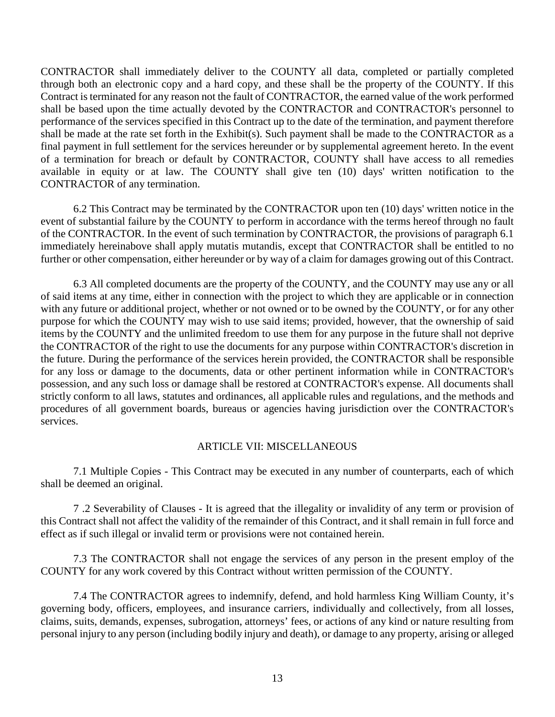CONTRACTOR shall immediately deliver to the COUNTY all data, completed or partially completed through both an electronic copy and a hard copy, and these shall be the property of the COUNTY. If this Contract is terminated for any reason not the fault of CONTRACTOR, the earned value of the work performed shall be based upon the time actually devoted by the CONTRACTOR and CONTRACTOR's personnel to performance of the services specified in this Contract up to the date of the termination, and payment therefore shall be made at the rate set forth in the Exhibit(s). Such payment shall be made to the CONTRACTOR as a final payment in full settlement for the services hereunder or by supplemental agreement hereto. In the event of a termination for breach or default by CONTRACTOR, COUNTY shall have access to all remedies available in equity or at law. The COUNTY shall give ten (10) days' written notification to the CONTRACTOR of any termination.

6.2 This Contract may be terminated by the CONTRACTOR upon ten (10) days' written notice in the event of substantial failure by the COUNTY to perform in accordance with the terms hereof through no fault of the CONTRACTOR. In the event of such termination by CONTRACTOR, the provisions of paragraph 6.1 immediately hereinabove shall apply mutatis mutandis, except that CONTRACTOR shall be entitled to no further or other compensation, either hereunder or by way of a claim for damages growing out of this Contract.

6.3 All completed documents are the property of the COUNTY, and the COUNTY may use any or all of said items at any time, either in connection with the project to which they are applicable or in connection with any future or additional project, whether or not owned or to be owned by the COUNTY, or for any other purpose for which the COUNTY may wish to use said items; provided, however, that the ownership of said items by the COUNTY and the unlimited freedom to use them for any purpose in the future shall not deprive the CONTRACTOR of the right to use the documents for any purpose within CONTRACTOR's discretion in the future. During the performance of the services herein provided, the CONTRACTOR shall be responsible for any loss or damage to the documents, data or other pertinent information while in CONTRACTOR's possession, and any such loss or damage shall be restored at CONTRACTOR's expense. All documents shall strictly conform to all laws, statutes and ordinances, all applicable rules and regulations, and the methods and procedures of all government boards, bureaus or agencies having jurisdiction over the CONTRACTOR's services.

#### ARTICLE VII: MISCELLANEOUS

7.1 Multiple Copies - This Contract may be executed in any number of counterparts, each of which shall be deemed an original.

7 .2 Severability of Clauses - It is agreed that the illegality or invalidity of any term or provision of this Contract shall not affect the validity of the remainder of this Contract, and it shall remain in full force and effect as if such illegal or invalid term or provisions were not contained herein.

7.3 The CONTRACTOR shall not engage the services of any person in the present employ of the COUNTY for any work covered by this Contract without written permission of the COUNTY.

7.4 The CONTRACTOR agrees to indemnify, defend, and hold harmless King William County, it's governing body, officers, employees, and insurance carriers, individually and collectively, from all losses, claims, suits, demands, expenses, subrogation, attorneys' fees, or actions of any kind or nature resulting from personal injury to any person (including bodily injury and death), or damage to any property, arising or alleged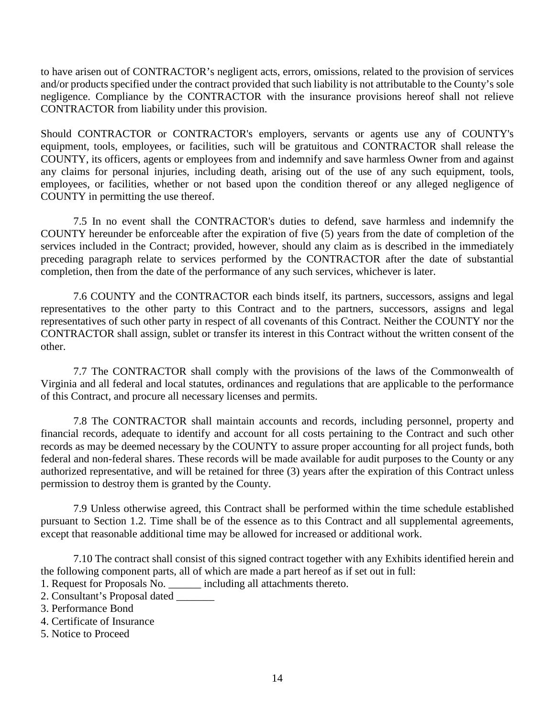to have arisen out of CONTRACTOR's negligent acts, errors, omissions, related to the provision of services and/or products specified under the contract provided that such liability is not attributable to the County's sole negligence. Compliance by the CONTRACTOR with the insurance provisions hereof shall not relieve CONTRACTOR from liability under this provision.

Should CONTRACTOR or CONTRACTOR's employers, servants or agents use any of COUNTY's equipment, tools, employees, or facilities, such will be gratuitous and CONTRACTOR shall release the COUNTY, its officers, agents or employees from and indemnify and save harmless Owner from and against any claims for personal injuries, including death, arising out of the use of any such equipment, tools, employees, or facilities, whether or not based upon the condition thereof or any alleged negligence of COUNTY in permitting the use thereof.

7.5 In no event shall the CONTRACTOR's duties to defend, save harmless and indemnify the COUNTY hereunder be enforceable after the expiration of five (5) years from the date of completion of the services included in the Contract; provided, however, should any claim as is described in the immediately preceding paragraph relate to services performed by the CONTRACTOR after the date of substantial completion, then from the date of the performance of any such services, whichever is later.

7.6 COUNTY and the CONTRACTOR each binds itself, its partners, successors, assigns and legal representatives to the other party to this Contract and to the partners, successors, assigns and legal representatives of such other party in respect of all covenants of this Contract. Neither the COUNTY nor the CONTRACTOR shall assign, sublet or transfer its interest in this Contract without the written consent of the other.

7.7 The CONTRACTOR shall comply with the provisions of the laws of the Commonwealth of Virginia and all federal and local statutes, ordinances and regulations that are applicable to the performance of this Contract, and procure all necessary licenses and permits.

7.8 The CONTRACTOR shall maintain accounts and records, including personnel, property and financial records, adequate to identify and account for all costs pertaining to the Contract and such other records as may be deemed necessary by the COUNTY to assure proper accounting for all project funds, both federal and non-federal shares. These records will be made available for audit purposes to the County or any authorized representative, and will be retained for three (3) years after the expiration of this Contract unless permission to destroy them is granted by the County.

7.9 Unless otherwise agreed, this Contract shall be performed within the time schedule established pursuant to Section 1.2. Time shall be of the essence as to this Contract and all supplemental agreements, except that reasonable additional time may be allowed for increased or additional work.

7.10 The contract shall consist of this signed contract together with any Exhibits identified herein and the following component parts, all of which are made a part hereof as if set out in full:

- 1. Request for Proposals No. \_\_\_\_\_\_ including all attachments thereto.
- 2. Consultant's Proposal dated
- 3. Performance Bond
- 4. Certificate of Insurance
- 5. Notice to Proceed